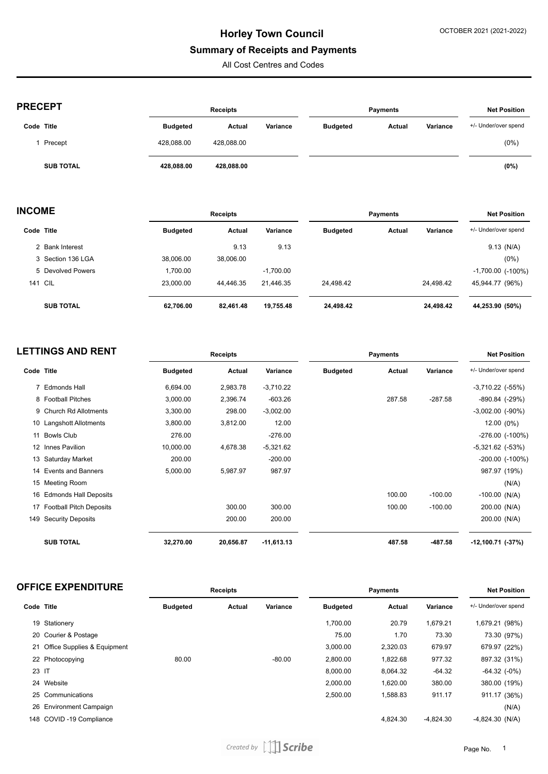## **Summary of Receipts and Payments**

All Cost Centres and Codes

| <b>PRECEPT</b>   |                 | <b>Receipts</b> |          |                 | Payments      |          |                      |
|------------------|-----------------|-----------------|----------|-----------------|---------------|----------|----------------------|
| Code Title       | <b>Budgeted</b> | Actual          | Variance | <b>Budgeted</b> | <b>Actual</b> | Variance | +/- Under/over spend |
| Precept          | 428.088.00      | 428,088.00      |          |                 |               |          | $(0\%)$              |
| <b>SUB TOTAL</b> | 428,088.00      | 428,088.00      |          |                 |               |          | (0%)                 |

| <b>INCOME</b> |                   | <b>Receipts</b> |           |             | <b>Payments</b> | <b>Net Position</b> |           |                          |
|---------------|-------------------|-----------------|-----------|-------------|-----------------|---------------------|-----------|--------------------------|
|               | Code Title        | <b>Budgeted</b> | Actual    | Variance    | <b>Budgeted</b> | Actual              | Variance  | +/- Under/over spend     |
|               | 2 Bank Interest   |                 | 9.13      | 9.13        |                 |                     |           | $9.13$ (N/A)             |
|               | 3 Section 136 LGA | 38.006.00       | 38,006.00 |             |                 |                     |           | $(0\%)$                  |
|               | 5 Devolved Powers | 1,700.00        |           | $-1,700.00$ |                 |                     |           | $-1,700.00$ ( $-100\%$ ) |
|               | <b>141 CIL</b>    | 23.000.00       | 44.446.35 | 21.446.35   | 24.498.42       |                     | 24.498.42 | 45,944.77 (96%)          |
|               | <b>SUB TOTAL</b>  | 62,706.00       | 82,461.48 | 19,755.48   | 24,498.42       |                     | 24,498.42 | 44,253.90 (50%)          |

|            | <b>LETTINGS AND RENT</b>   |                 | <b>Receipts</b> |              |                 | <b>Payments</b> |           |                       |
|------------|----------------------------|-----------------|-----------------|--------------|-----------------|-----------------|-----------|-----------------------|
| Code Title |                            | <b>Budgeted</b> | Actual          | Variance     | <b>Budgeted</b> | Actual          | Variance  | +/- Under/over spend  |
|            | 7 Edmonds Hall             | 6,694.00        | 2,983.78        | $-3,710.22$  |                 |                 |           | $-3,710.22$ $(-55%)$  |
|            | 8 Football Pitches         | 3,000.00        | 2,396.74        | $-603.26$    |                 | 287.58          | $-287.58$ | -890.84 (-29%)        |
|            | 9 Church Rd Allotments     | 3,300.00        | 298.00          | $-3,002.00$  |                 |                 |           | $-3,002.00$ $(-90\%)$ |
|            | 10 Langshott Allotments    | 3,800.00        | 3,812.00        | 12.00        |                 |                 |           | 12.00 (0%)            |
|            | 11 Bowls Club              | 276.00          |                 | $-276.00$    |                 |                 |           | $-276.00$ $(-100\%)$  |
|            | 12 Innes Pavilion          | 10,000.00       | 4,678.38        | $-5,321.62$  |                 |                 |           | $-5,321.62$ $(-53%)$  |
|            | 13 Saturday Market         | 200.00          |                 | $-200.00$    |                 |                 |           | $-200.00$ $(-100\%)$  |
|            | 14 Events and Banners      | 5,000.00        | 5,987.97        | 987.97       |                 |                 |           | 987.97 (19%)          |
|            | 15 Meeting Room            |                 |                 |              |                 |                 |           | (N/A)                 |
|            | 16 Edmonds Hall Deposits   |                 |                 |              |                 | 100.00          | $-100.00$ | $-100.00$ (N/A)       |
|            | 17 Football Pitch Deposits |                 | 300.00          | 300.00       |                 | 100.00          | $-100.00$ | 200.00 (N/A)          |
| 149        | <b>Security Deposits</b>   |                 | 200.00          | 200.00       |                 |                 |           | 200.00 (N/A)          |
|            | <b>SUB TOTAL</b>           | 32,270.00       | 20,656.87       | $-11,613.13$ |                 | 487.58          | -487.58   | -12,100.71 (-37%)     |

# **OFFICE EXPENDITURE Receipts Payments Net Position**

| Code Title |                                | <b>Budgeted</b> | Actual | Variance | <b>Budgeted</b> | Actual   | Variance    | +/- Under/over spend |  |
|------------|--------------------------------|-----------------|--------|----------|-----------------|----------|-------------|----------------------|--|
|            | 19 Stationery                  |                 |        |          | 1.700.00        | 20.79    | 1.679.21    | 1,679.21 (98%)       |  |
|            | 20 Courier & Postage           |                 |        |          | 75.00           | 1.70     | 73.30       | 73.30 (97%)          |  |
|            | 21 Office Supplies & Equipment |                 |        |          | 3.000.00        | 2,320.03 | 679.97      | 679.97 (22%)         |  |
|            | 22 Photocopying                | 80.00           |        | $-80.00$ | 2.800.00        | 1,822.68 | 977.32      | 897.32 (31%)         |  |
| 23 IT      |                                |                 |        |          | 8.000.00        | 8,064.32 | $-64.32$    | $-64.32$ $(-0%)$     |  |
|            | 24 Website                     |                 |        |          | 2.000.00        | 1,620.00 | 380.00      | 380.00 (19%)         |  |
|            | 25 Communications              |                 |        |          | 2.500.00        | 1,588.83 | 911.17      | 911.17 (36%)         |  |
|            | 26 Environment Campaign        |                 |        |          |                 |          |             | (N/A)                |  |
|            | 148 COVID-19 Compliance        |                 |        |          |                 | 4,824.30 | $-4.824.30$ | $-4,824.30$ (N/A)    |  |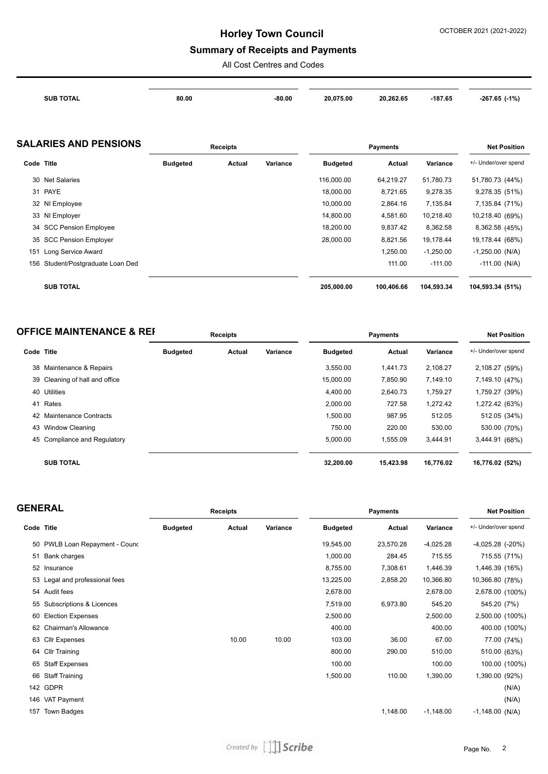## **Summary of Receipts and Payments**

All Cost Centres and Codes

| <b>SUB TOTAL</b> | 80.00 | $-80.00$ | 20,075.00 | 20,262.65 | $-187.65$ | $-267.65$ $(-1%)$ |
|------------------|-------|----------|-----------|-----------|-----------|-------------------|
|                  |       |          |           |           |           |                   |
|                  |       |          |           |           |           |                   |
|                  |       |          |           |           |           |                   |

|            | <b>SALARIES AND PENSIONS</b>  | <b>Receipts</b> |        |          |                 | <b>Net Position</b> |             |                      |
|------------|-------------------------------|-----------------|--------|----------|-----------------|---------------------|-------------|----------------------|
| Code Title |                               | <b>Budgeted</b> | Actual | Variance | <b>Budgeted</b> | Actual              | Variance    | +/- Under/over spend |
|            | 30 Net Salaries               |                 |        |          | 116,000.00      | 64,219.27           | 51,780.73   | 51,780.73 (44%)      |
|            | 31 PAYE                       |                 |        |          | 18.000.00       | 8,721.65            | 9,278.35    | 9,278.35 (51%)       |
|            | 32 NI Employee                |                 |        |          | 10.000.00       | 2,864.16            | 7,135.84    | 7,135.84 (71%)       |
|            | 33 NI Employer                |                 |        |          | 14,800.00       | 4,581.60            | 10,218.40   | 10,218.40 (69%)      |
|            | 34 SCC Pension Employee       |                 |        |          | 18.200.00       | 9,837.42            | 8,362.58    | 8,362.58 (45%)       |
|            | 35 SCC Pension Employer       |                 |        |          | 28,000.00       | 8,821.56            | 19,178.44   | 19,178.44 (68%)      |
| 151        | Long Service Award            |                 |        |          |                 | 1,250.00            | $-1,250.00$ | $-1,250.00$ (N/A)    |
| 156        | Student/Postgraduate Loan Ded |                 |        |          |                 | 111.00              | $-111.00$   | $-111.00$ (N/A)      |
|            | <b>SUB TOTAL</b>              |                 |        |          | 205.000.00      | 100.406.66          | 104.593.34  | 104,593.34 (51%)     |

| <b>OFFICE MAINTENANCE &amp; REF</b> | <b>Receipts</b> | Pavments | <b>Net Position</b> |
|-------------------------------------|-----------------|----------|---------------------|
|                                     |                 |          |                     |

| Code Title |                                | <b>Budgeted</b> | Actual | Variance | <b>Budgeted</b> | Actual    | Variance  | +/- Under/over spend |
|------------|--------------------------------|-----------------|--------|----------|-----------------|-----------|-----------|----------------------|
|            | 38 Maintenance & Repairs       |                 |        |          | 3.550.00        | 1.441.73  | 2,108.27  | 2,108.27 (59%)       |
|            | 39 Cleaning of hall and office |                 |        |          | 15,000.00       | 7,850.90  | 7,149.10  | 7,149.10 (47%)       |
|            | 40 Utilities                   |                 |        |          | 4.400.00        | 2.640.73  | 1,759.27  | 1,759.27 (39%)       |
| 41         | Rates                          |                 |        |          | 2,000.00        | 727.58    | 1,272.42  | 1,272.42 (63%)       |
|            | 42 Maintenance Contracts       |                 |        |          | 1.500.00        | 987.95    | 512.05    | 512.05 (34%)         |
|            | 43 Window Cleaning             |                 |        |          | 750.00          | 220.00    | 530.00    | 530.00 (70%)         |
|            | 45 Compliance and Regulatory   |                 |        |          | 5.000.00        | 1.555.09  | 3.444.91  | 3,444.91 (68%)       |
|            | <b>SUB TOTAL</b>               |                 |        |          | 32.200.00       | 15.423.98 | 16.776.02 | 16,776.02 (52%)      |

| <b>GENERAL</b> |                                |                 | Receipts |          |                 | <b>Net Position</b> |             |                      |
|----------------|--------------------------------|-----------------|----------|----------|-----------------|---------------------|-------------|----------------------|
| Code Title     |                                | <b>Budgeted</b> | Actual   | Variance | <b>Budgeted</b> | Actual              | Variance    | +/- Under/over spend |
|                | 50 PWLB Loan Repayment - Cound |                 |          |          | 19,545.00       | 23,570.28           | $-4,025.28$ | $-4,025.28$ $(-20%)$ |
| 51             | Bank charges                   |                 |          |          | 1,000.00        | 284.45              | 715.55      | 715.55 (71%)         |
|                | 52 Insurance                   |                 |          |          | 8,755.00        | 7,308.61            | 1,446.39    | 1,446.39 (16%)       |
|                | 53 Legal and professional fees |                 |          |          | 13,225.00       | 2,858.20            | 10,366.80   | 10,366.80 (78%)      |
|                | 54 Audit fees                  |                 |          |          | 2,678.00        |                     | 2,678.00    | 2,678.00 (100%)      |
|                | 55 Subscriptions & Licences    |                 |          |          | 7,519.00        | 6,973.80            | 545.20      | 545.20 (7%)          |
| 60             | <b>Election Expenses</b>       |                 |          |          | 2,500.00        |                     | 2,500.00    | 2,500.00 (100%)      |
| 62             | <b>Chairman's Allowance</b>    |                 |          |          | 400.00          |                     | 400.00      | 400.00 (100%)        |
|                | 63 Cllr Expenses               |                 | 10.00    | 10.00    | 103.00          | 36.00               | 67.00       | 77.00 (74%)          |
|                | 64 Cllr Training               |                 |          |          | 800.00          | 290.00              | 510.00      | 510.00 (63%)         |
| 65             | <b>Staff Expenses</b>          |                 |          |          | 100.00          |                     | 100.00      | 100.00 (100%)        |
|                | 66 Staff Training              |                 |          |          | 1,500.00        | 110.00              | 1,390.00    | 1,390.00 (92%)       |
|                | 142 GDPR                       |                 |          |          |                 |                     |             | (N/A)                |
|                | 146 VAT Payment                |                 |          |          |                 |                     |             | (N/A)                |
| 157            | Town Badges                    |                 |          |          |                 | 1,148.00            | $-1,148.00$ | $-1,148.00$ (N/A)    |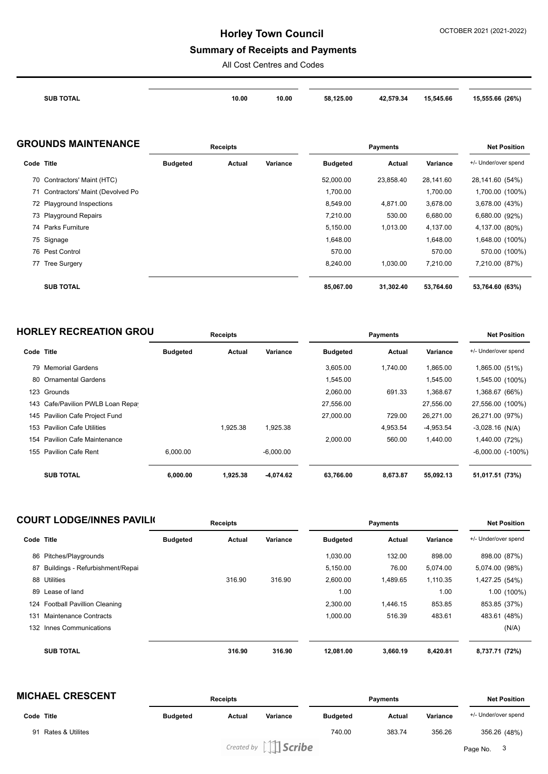## **Summary of Receipts and Payments**

All Cost Centres and Codes

| <b>SUB TOTAL</b> | 10.00 | 10.00<br>. | 58.125.00 | 42.579.34 | 15,545.66 | 15,555.66 (26%) |
|------------------|-------|------------|-----------|-----------|-----------|-----------------|
|                  |       |            |           |           |           |                 |

#### **GROUNDS MAINTENANCE Receipts Payments Net Position**

|            |                                    | <b>ITEREINIS</b> |        |          |                 | <b>ITEL L'ASILIAIL</b> |           |                      |
|------------|------------------------------------|------------------|--------|----------|-----------------|------------------------|-----------|----------------------|
| Code Title |                                    | <b>Budgeted</b>  | Actual | Variance | <b>Budgeted</b> | Actual                 | Variance  | +/- Under/over spend |
|            | 70 Contractors' Maint (HTC)        |                  |        |          | 52,000.00       | 23.858.40              | 28.141.60 | 28,141.60 (54%)      |
|            | 71 Contractors' Maint (Devolved Po |                  |        |          | 1,700.00        |                        | 1,700.00  | 1,700.00 (100%)      |
|            | 72 Playground Inspections          |                  |        |          | 8,549.00        | 4,871.00               | 3,678.00  | 3,678.00 (43%)       |
|            | 73 Playground Repairs              |                  |        |          | 7,210.00        | 530.00                 | 6,680.00  | 6,680.00 (92%)       |
|            | 74 Parks Furniture                 |                  |        |          | 5,150.00        | 1,013.00               | 4,137.00  | 4,137.00 (80%)       |
|            | 75 Signage                         |                  |        |          | 1,648.00        |                        | 1,648.00  | 1,648.00 (100%)      |
|            | 76 Pest Control                    |                  |        |          | 570.00          |                        | 570.00    | 570.00 (100%)        |
| 77         | <b>Tree Surgery</b>                |                  |        |          | 8,240.00        | 1,030.00               | 7,210.00  | 7,210.00 (87%)       |
|            | <b>SUB TOTAL</b>                   |                  |        |          | 85,067.00       | 31,302.40              | 53,764.60 | 53,764.60 (63%)      |

## **HORLEY RECREATION GROUNDER Receipts Payments Payments Payments Payments Payments**

| Code | <b>Title</b>                      | <b>Budgeted</b> | Actual   | Variance    | <b>Budgeted</b> | Actual   | Variance    | +/- Under/over spend   |  |
|------|-----------------------------------|-----------------|----------|-------------|-----------------|----------|-------------|------------------------|--|
|      | 79 Memorial Gardens               |                 |          |             | 3.605.00        | 1.740.00 | 1,865.00    | 1,865.00 (51%)         |  |
|      | 80 Ornamental Gardens             |                 |          |             | 1.545.00        |          | 1,545.00    | 1,545.00 (100%)        |  |
|      | 123 Grounds                       |                 |          |             | 2,060.00        | 691.33   | 1,368.67    | 1,368.67 (66%)         |  |
|      | 143 Cafe/Pavilion PWLB Loan Repay |                 |          |             | 27,556.00       |          | 27,556.00   | 27,556.00 (100%)       |  |
|      | 145 Pavilion Cafe Project Fund    |                 |          |             | 27,000.00       | 729.00   | 26,271.00   | 26,271.00 (97%)        |  |
| 153  | <b>Pavilion Cafe Utilities</b>    |                 | 1.925.38 | 1,925.38    |                 | 4,953.54 | $-4,953.54$ | $-3,028.16$ (N/A)      |  |
|      | 154 Pavilion Cafe Maintenance     |                 |          |             | 2.000.00        | 560.00   | 1.440.00    | 1,440.00 (72%)         |  |
| 155  | <b>Pavilion Cafe Rent</b>         | 6.000.00        |          | $-6.000.00$ |                 |          |             | $-6,000.00$ $(-100\%)$ |  |
|      | <b>SUB TOTAL</b>                  | 6,000.00        | 1,925.38 | -4,074.62   | 63,766.00       | 8,673.87 | 55,092.13   | 51,017.51 (73%)        |  |

| <b>COURT LODGE/INNES PAVILIC</b> |                                    | <b>Receipts</b> |        |          | <b>Payments</b> |          |          | <b>Net Position</b>  |  |
|----------------------------------|------------------------------------|-----------------|--------|----------|-----------------|----------|----------|----------------------|--|
| Code Title                       |                                    | <b>Budgeted</b> | Actual | Variance | <b>Budgeted</b> | Actual   | Variance | +/- Under/over spend |  |
| 86                               | Pitches/Playgrounds                |                 |        |          | 1.030.00        | 132.00   | 898.00   | 898.00 (87%)         |  |
| 87                               | Buildings - Refurbishment/Repai    |                 |        |          | 5,150.00        | 76.00    | 5,074.00 | 5,074.00 (98%)       |  |
|                                  | 88 Utilities                       |                 | 316.90 | 316.90   | 2.600.00        | 1.489.65 | 1.110.35 | 1,427.25 (54%)       |  |
|                                  | 89 Lease of land                   |                 |        |          | 1.00            |          | 1.00     | 1.00 (100%)          |  |
| 124                              | <b>Football Pavillion Cleaning</b> |                 |        |          | 2.300.00        | 1.446.15 | 853.85   | 853.85 (37%)         |  |
| 131                              | Maintenance Contracts              |                 |        |          | 1,000.00        | 516.39   | 483.61   | 483.61 (48%)         |  |
| 132                              | Innes Communications               |                 |        |          |                 |          |          | (N/A)                |  |
|                                  | <b>SUB TOTAL</b>                   |                 | 316.90 | 316.90   | 12,081.00       | 3,660.19 | 8,420.81 | 8,737.71 (72%)       |  |

| <b>MICHAEL CRESCENT</b>           |                 | <b>Receipts</b> |                            |                 | <b>Payments</b> |          |                      |
|-----------------------------------|-----------------|-----------------|----------------------------|-----------------|-----------------|----------|----------------------|
| Code Title                        | <b>Budgeted</b> | Actual          | Variance                   | <b>Budgeted</b> | Actual          | Variance | +/- Under/over spend |
| <b>Rates &amp; Utilites</b><br>91 |                 |                 |                            | 740.00          | 383.74          | 356.26   | 356.26 (48%)         |
|                                   |                 |                 | Created by $\iiint$ Scribe |                 |                 |          | Page No. 3           |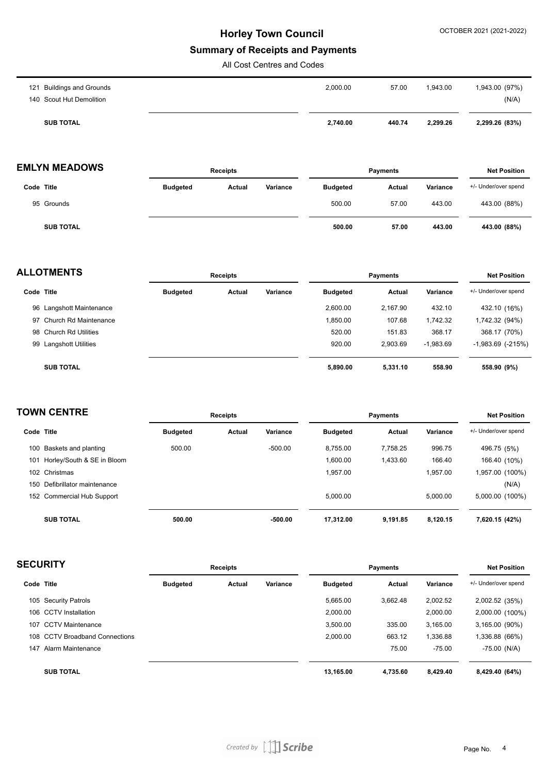#### **Summary of Receipts and Payments**

All Cost Centres and Codes

| 140 Scout Hut Demolition              | (N/A)                               |
|---------------------------------------|-------------------------------------|
| 2,000.00<br>121 Buildings and Grounds | 57.00<br>1,943.00<br>1,943.00 (97%) |

## **EMLYN MEADOWS Receipts Payments Net Position**

|                  | .               |        | .        |                 |        | .        |                      |
|------------------|-----------------|--------|----------|-----------------|--------|----------|----------------------|
| Code Title       | <b>Budgeted</b> | Actual | Variance | <b>Budgeted</b> | Actual | Variance | +/- Under/over spend |
| 95 Grounds       |                 |        |          | 500.00          | 57.00  | 443.00   | 443.00 (88%)         |
| <b>SUB TOTAL</b> |                 |        |          | 500.00          | 57.00  | 443.00   | 443.00 (88%)         |

| <b>ALLOTMENTS</b> |                          |                 | <b>Receipts</b> |          |                 | <b>Payments</b> |             |                          |
|-------------------|--------------------------|-----------------|-----------------|----------|-----------------|-----------------|-------------|--------------------------|
| Code Title        |                          | <b>Budgeted</b> | Actual          | Variance | <b>Budgeted</b> | Actual          | Variance    | +/- Under/over spend     |
|                   | 96 Langshott Maintenance |                 |                 |          | 2,600.00        | 2.167.90        | 432.10      | 432.10 (16%)             |
|                   | 97 Church Rd Maintenance |                 |                 |          | 1,850.00        | 107.68          | 1,742.32    | 1,742.32 (94%)           |
|                   | 98 Church Rd Utilities   |                 |                 |          | 520.00          | 151.83          | 368.17      | 368.17 (70%)             |
|                   | 99 Langshott Utilities   |                 |                 |          | 920.00          | 2.903.69        | $-1,983.69$ | $-1,983.69$ ( $-215\%$ ) |
|                   | <b>SUB TOTAL</b>         |                 |                 |          | 5,890.00        | 5,331.10        | 558.90      | 558.90 (9%)              |

| <b>TOWN CENTRE</b> |                            | <b>Receipts</b> |        |           | <b>Payments</b> |          |          | <b>Net Position</b>  |  |
|--------------------|----------------------------|-----------------|--------|-----------|-----------------|----------|----------|----------------------|--|
| Code Title         |                            | <b>Budgeted</b> | Actual | Variance  | <b>Budgeted</b> | Actual   | Variance | +/- Under/over spend |  |
| 100                | Baskets and planting       | 500.00          |        | $-500.00$ | 8.755.00        | 7.758.25 | 996.75   | 496.75 (5%)          |  |
| 101                | Horley/South & SE in Bloom |                 |        |           | 1.600.00        | 1.433.60 | 166.40   | 166.40 (10%)         |  |
|                    | 102 Christmas              |                 |        |           | 1.957.00        |          | 1.957.00 | 1,957.00 (100%)      |  |
| 150                | Defibrillator maintenance  |                 |        |           |                 |          |          | (N/A)                |  |
|                    | 152 Commercial Hub Support |                 |        |           | 5.000.00        |          | 5.000.00 | 5,000.00 (100%)      |  |
|                    | <b>SUB TOTAL</b>           | 500.00          |        | $-500.00$ | 17.312.00       | 9,191.85 | 8,120.15 | 7,620.15 (42%)       |  |

| <b>SECURITY</b> |                                | <b>Receipts</b> |        |          |                 | <b>Net Position</b> |          |                      |
|-----------------|--------------------------------|-----------------|--------|----------|-----------------|---------------------|----------|----------------------|
|                 | Code Title                     | <b>Budgeted</b> | Actual | Variance | <b>Budgeted</b> | <b>Actual</b>       | Variance | +/- Under/over spend |
|                 | 105 Security Patrols           |                 |        |          | 5,665.00        | 3.662.48            | 2,002.52 | 2,002.52 (35%)       |
|                 | 106 CCTV Installation          |                 |        |          | 2,000.00        |                     | 2,000.00 | 2,000.00 (100%)      |
| 107             | <b>CCTV Maintenance</b>        |                 |        |          | 3,500.00        | 335.00              | 3,165.00 | 3,165.00 (90%)       |
|                 | 108 CCTV Broadband Connections |                 |        |          | 2,000.00        | 663.12              | 1,336.88 | 1,336.88 (66%)       |
| 147             | Alarm Maintenance              |                 |        |          |                 | 75.00               | $-75.00$ | $-75.00$ (N/A)       |
|                 | <b>SUB TOTAL</b>               |                 |        |          | 13.165.00       | 4.735.60            | 8.429.40 | 8,429.40 (64%)       |